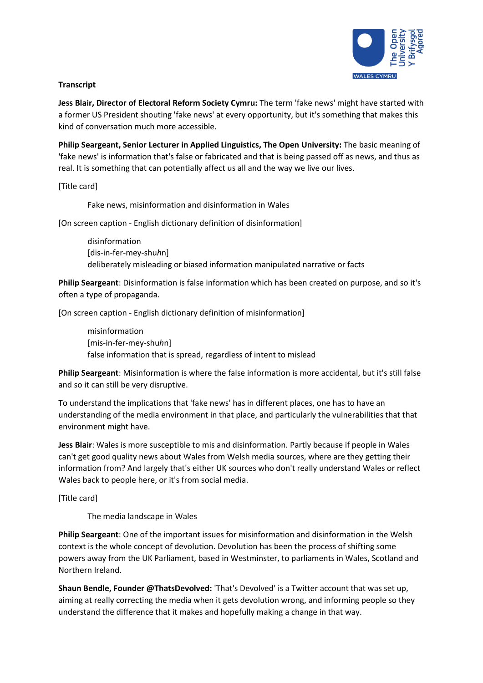

## **Transcript**

**Jess Blair, Director of Electoral Reform Society Cymru:** The term 'fake news' might have started with a former US President shouting 'fake news' at every opportunity, but it's something that makes this kind of conversation much more accessible.

**Philip Seargeant, Senior Lecturer in Applied Linguistics, The Open University:** The basic meaning of 'fake news' is information that's false or fabricated and that is being passed off as news, and thus as real. It is something that can potentially affect us all and the way we live our lives.

[Title card]

Fake news, misinformation and disinformation in Wales

[On screen caption - English dictionary definition of disinformation]

disinformation [dis-in-fer-mey-shu*h*n] deliberately misleading or biased information manipulated narrative or facts

**Philip Seargeant**: Disinformation is false information which has been created on purpose, and so it's often a type of propaganda.

[On screen caption - English dictionary definition of misinformation]

misinformation [mis-in-fer-mey-shu*h*n] false information that is spread, regardless of intent to mislead

**Philip Seargeant**: Misinformation is where the false information is more accidental, but it's still false and so it can still be very disruptive.

To understand the implications that 'fake news' has in different places, one has to have an understanding of the media environment in that place, and particularly the vulnerabilities that that environment might have.

**Jess Blair**: Wales is more susceptible to mis and disinformation. Partly because if people in Wales can't get good quality news about Wales from Welsh media sources, where are they getting their information from? And largely that's either UK sources who don't really understand Wales or reflect Wales back to people here, or it's from social media.

[Title card]

The media landscape in Wales

**Philip Seargeant**: One of the important issues for misinformation and disinformation in the Welsh context is the whole concept of devolution. Devolution has been the process of shifting some powers away from the UK Parliament, based in Westminster, to parliaments in Wales, Scotland and Northern Ireland.

**Shaun Bendle, Founder @ThatsDevolved:** 'That's Devolved' is a Twitter account that was set up, aiming at really correcting the media when it gets devolution wrong, and informing people so they understand the difference that it makes and hopefully making a change in that way.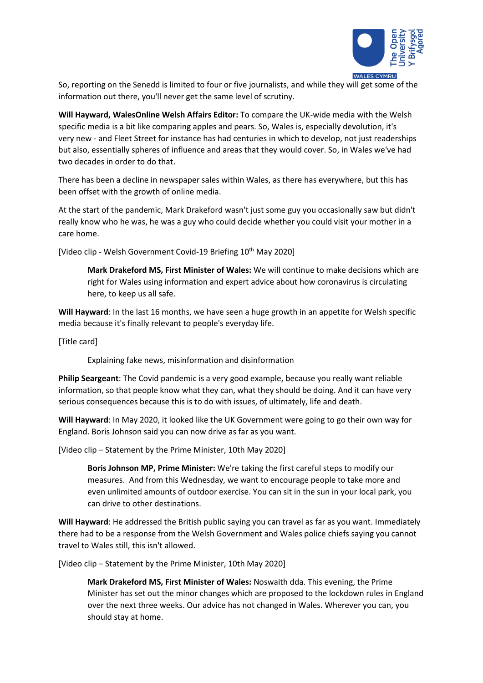

So, reporting on the Senedd is limited to four or five journalists, and while they will get some of the information out there, you'll never get the same level of scrutiny.

**Will Hayward, WalesOnline Welsh Affairs Editor:** To compare the UK-wide media with the Welsh specific media is a bit like comparing apples and pears. So, Wales is, especially devolution, it's very new - and Fleet Street for instance has had centuries in which to develop, not just readerships but also, essentially spheres of influence and areas that they would cover. So, in Wales we've had two decades in order to do that.

There has been a decline in newspaper sales within Wales, as there has everywhere, but this has been offset with the growth of online media.

At the start of the pandemic, Mark Drakeford wasn't just some guy you occasionally saw but didn't really know who he was, he was a guy who could decide whether you could visit your mother in a care home.

[Video clip - Welsh Government Covid-19 Briefing 10<sup>th</sup> May 2020]

**Mark Drakeford MS, First Minister of Wales:** We will continue to make decisions which are right for Wales using information and expert advice about how coronavirus is circulating here, to keep us all safe.

**Will Hayward**: In the last 16 months, we have seen a huge growth in an appetite for Welsh specific media because it's finally relevant to people's everyday life.

[Title card]

Explaining fake news, misinformation and disinformation

**Philip Seargeant**: The Covid pandemic is a very good example, because you really want reliable information, so that people know what they can, what they should be doing. And it can have very serious consequences because this is to do with issues, of ultimately, life and death.

**Will Hayward**: In May 2020, it looked like the UK Government were going to go their own way for England. Boris Johnson said you can now drive as far as you want.

[Video clip – Statement by the Prime Minister, 10th May 2020]

**Boris Johnson MP, Prime Minister:** We're taking the first careful steps to modify our measures. And from this Wednesday, we want to encourage people to take more and even unlimited amounts of outdoor exercise. You can sit in the sun in your local park, you can drive to other destinations.

**Will Hayward**: He addressed the British public saying you can travel as far as you want. Immediately there had to be a response from the Welsh Government and Wales police chiefs saying you cannot travel to Wales still, this isn't allowed.

[Video clip – Statement by the Prime Minister, 10th May 2020]

**Mark Drakeford MS, First Minister of Wales:** Noswaith dda. This evening, the Prime Minister has set out the minor changes which are proposed to the lockdown rules in England over the next three weeks. Our advice has not changed in Wales. Wherever you can, you should stay at home.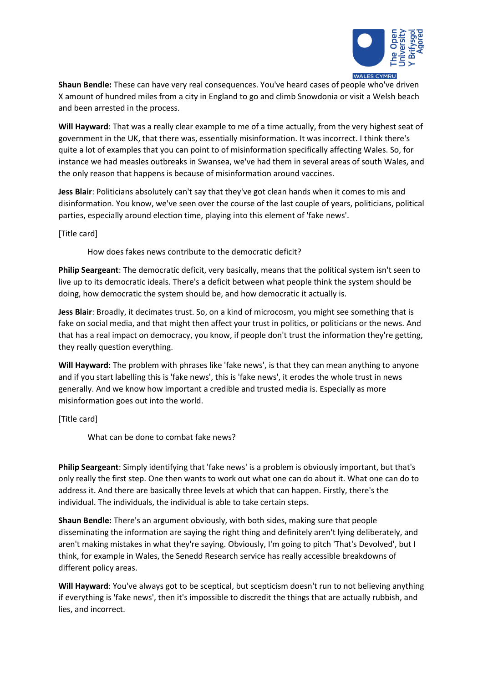

**Shaun Bendle:** These can have very real consequences. You've heard cases of people who've driven X amount of hundred miles from a city in England to go and climb Snowdonia or visit a Welsh beach and been arrested in the process.

**Will Hayward**: That was a really clear example to me of a time actually, from the very highest seat of government in the UK, that there was, essentially misinformation. It was incorrect. I think there's quite a lot of examples that you can point to of misinformation specifically affecting Wales. So, for instance we had measles outbreaks in Swansea, we've had them in several areas of south Wales, and the only reason that happens is because of misinformation around vaccines.

**Jess Blair**: Politicians absolutely can't say that they've got clean hands when it comes to mis and disinformation. You know, we've seen over the course of the last couple of years, politicians, political parties, especially around election time, playing into this element of 'fake news'.

[Title card]

How does fakes news contribute to the democratic deficit?

**Philip Seargeant**: The democratic deficit, very basically, means that the political system isn't seen to live up to its democratic ideals. There's a deficit between what people think the system should be doing, how democratic the system should be, and how democratic it actually is.

**Jess Blair**: Broadly, it decimates trust. So, on a kind of microcosm, you might see something that is fake on social media, and that might then affect your trust in politics, or politicians or the news. And that has a real impact on democracy, you know, if people don't trust the information they're getting, they really question everything.

**Will Hayward**: The problem with phrases like 'fake news', is that they can mean anything to anyone and if you start labelling this is 'fake news', this is 'fake news', it erodes the whole trust in news generally. And we know how important a credible and trusted media is. Especially as more misinformation goes out into the world.

[Title card]

What can be done to combat fake news?

**Philip Seargeant**: Simply identifying that 'fake news' is a problem is obviously important, but that's only really the first step. One then wants to work out what one can do about it. What one can do to address it. And there are basically three levels at which that can happen. Firstly, there's the individual. The individuals, the individual is able to take certain steps.

**Shaun Bendle:** There's an argument obviously, with both sides, making sure that people disseminating the information are saying the right thing and definitely aren't lying deliberately, and aren't making mistakes in what they're saying. Obviously, I'm going to pitch 'That's Devolved', but I think, for example in Wales, the Senedd Research service has really accessible breakdowns of different policy areas.

**Will Hayward**: You've always got to be sceptical, but scepticism doesn't run to not believing anything if everything is 'fake news', then it's impossible to discredit the things that are actually rubbish, and lies, and incorrect.